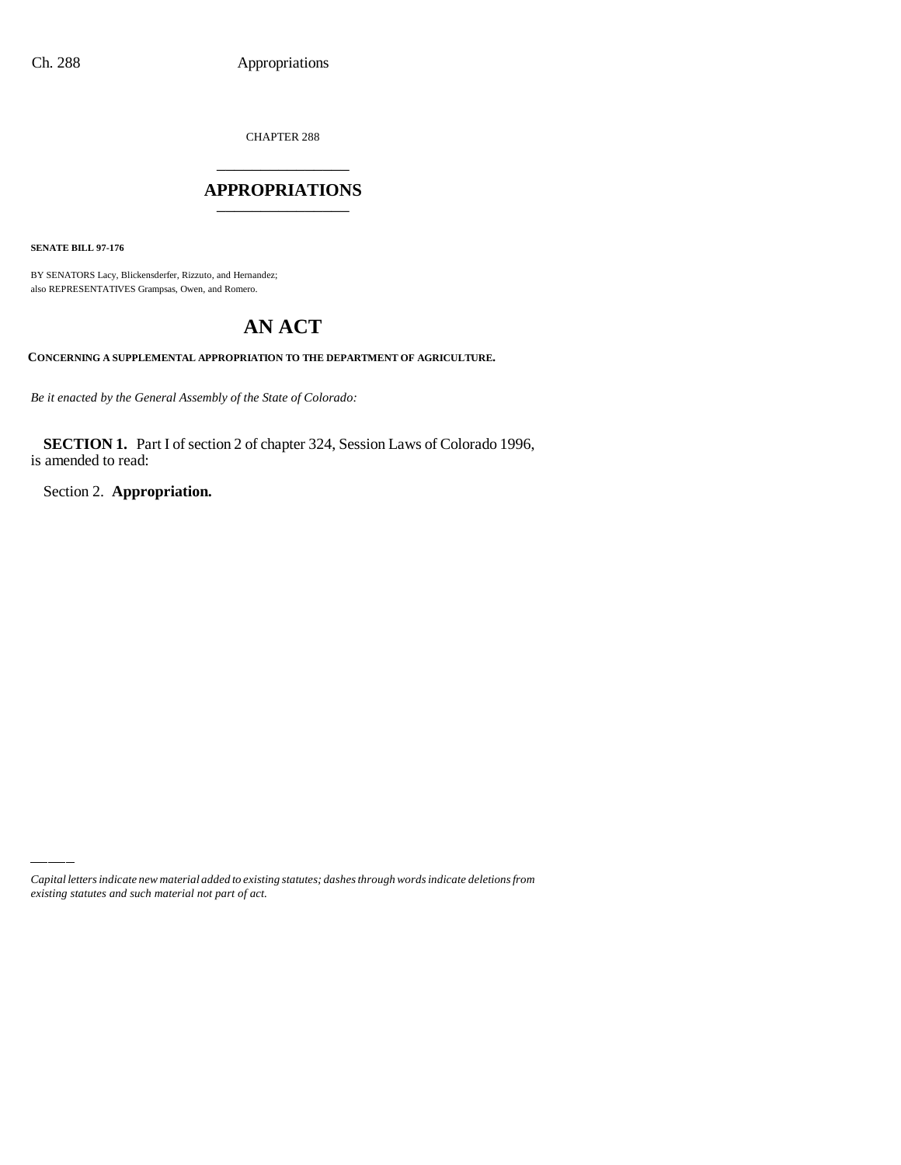CHAPTER 288

# \_\_\_\_\_\_\_\_\_\_\_\_\_\_\_ **APPROPRIATIONS** \_\_\_\_\_\_\_\_\_\_\_\_\_\_\_

**SENATE BILL 97-176**

BY SENATORS Lacy, Blickensderfer, Rizzuto, and Hernandez; also REPRESENTATIVES Grampsas, Owen, and Romero.

# **AN ACT**

**CONCERNING A SUPPLEMENTAL APPROPRIATION TO THE DEPARTMENT OF AGRICULTURE.**

*Be it enacted by the General Assembly of the State of Colorado:*

**SECTION 1.** Part I of section 2 of chapter 324, Session Laws of Colorado 1996, is amended to read:

Section 2. **Appropriation.**

*Capital letters indicate new material added to existing statutes; dashes through words indicate deletions from existing statutes and such material not part of act.*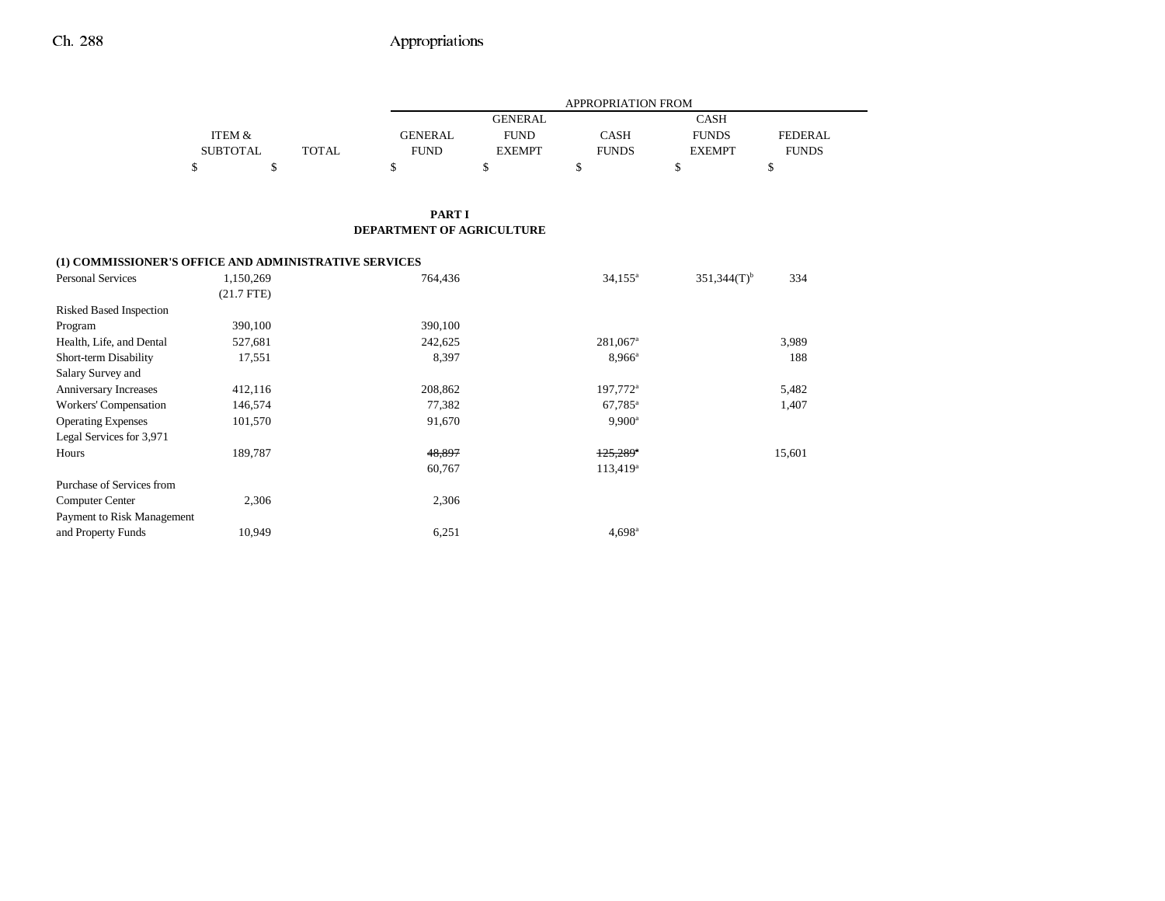## Ch. 288 Appropriations

| ITEM &<br><b>SUBTOTAL</b><br>¢<br>Φ | <b>TOTAL</b><br>ъ | <b>GENERAL</b><br><b>FUND</b><br>\$               | <b>FUND</b><br><b>EXEMPT</b><br>\$ | <b>CASH</b><br><b>FUNDS</b><br>\$ | <b>FUNDS</b><br><b>EXEMPT</b><br>\$ | FEDERAL<br><b>FUNDS</b><br>¢<br>D |
|-------------------------------------|-------------------|---------------------------------------------------|------------------------------------|-----------------------------------|-------------------------------------|-----------------------------------|
|                                     |                   | <b>PART I</b><br><b>DEPARTMENT OF AGRICULTURE</b> |                                    |                                   |                                     |                                   |

|                            | (1) COMMISSIONER'S OFFICE AND ADMINISTRATIVE SERVICES |         |                        |                           |        |
|----------------------------|-------------------------------------------------------|---------|------------------------|---------------------------|--------|
| <b>Personal Services</b>   | 1,150,269                                             | 764,436 | $34,155^{\circ}$       | $351,344(T)$ <sup>b</sup> | 334    |
|                            | $(21.7$ FTE)                                          |         |                        |                           |        |
| Risked Based Inspection    |                                                       |         |                        |                           |        |
| Program                    | 390,100                                               | 390,100 |                        |                           |        |
| Health, Life, and Dental   | 527,681                                               | 242,625 | $281,067$ <sup>a</sup> |                           | 3,989  |
| Short-term Disability      | 17,551                                                | 8,397   | $8,966^{\rm a}$        |                           | 188    |
| Salary Survey and          |                                                       |         |                        |                           |        |
| Anniversary Increases      | 412,116                                               | 208,862 | 197,772 <sup>a</sup>   |                           | 5,482  |
| Workers' Compensation      | 146,574                                               | 77,382  | $67,785$ <sup>a</sup>  |                           | 1,407  |
| <b>Operating Expenses</b>  | 101,570                                               | 91,670  | $9,900^{\rm a}$        |                           |        |
| Legal Services for 3,971   |                                                       |         |                        |                           |        |
| Hours                      | 189,787                                               | 48,897  | $125,289$ <sup>a</sup> |                           | 15,601 |
|                            |                                                       | 60,767  | $113,419^a$            |                           |        |
| Purchase of Services from  |                                                       |         |                        |                           |        |
| Computer Center            | 2,306                                                 | 2,306   |                        |                           |        |
| Payment to Risk Management |                                                       |         |                        |                           |        |
| and Property Funds         | 10,949                                                | 6,251   | $4.698$ <sup>a</sup>   |                           |        |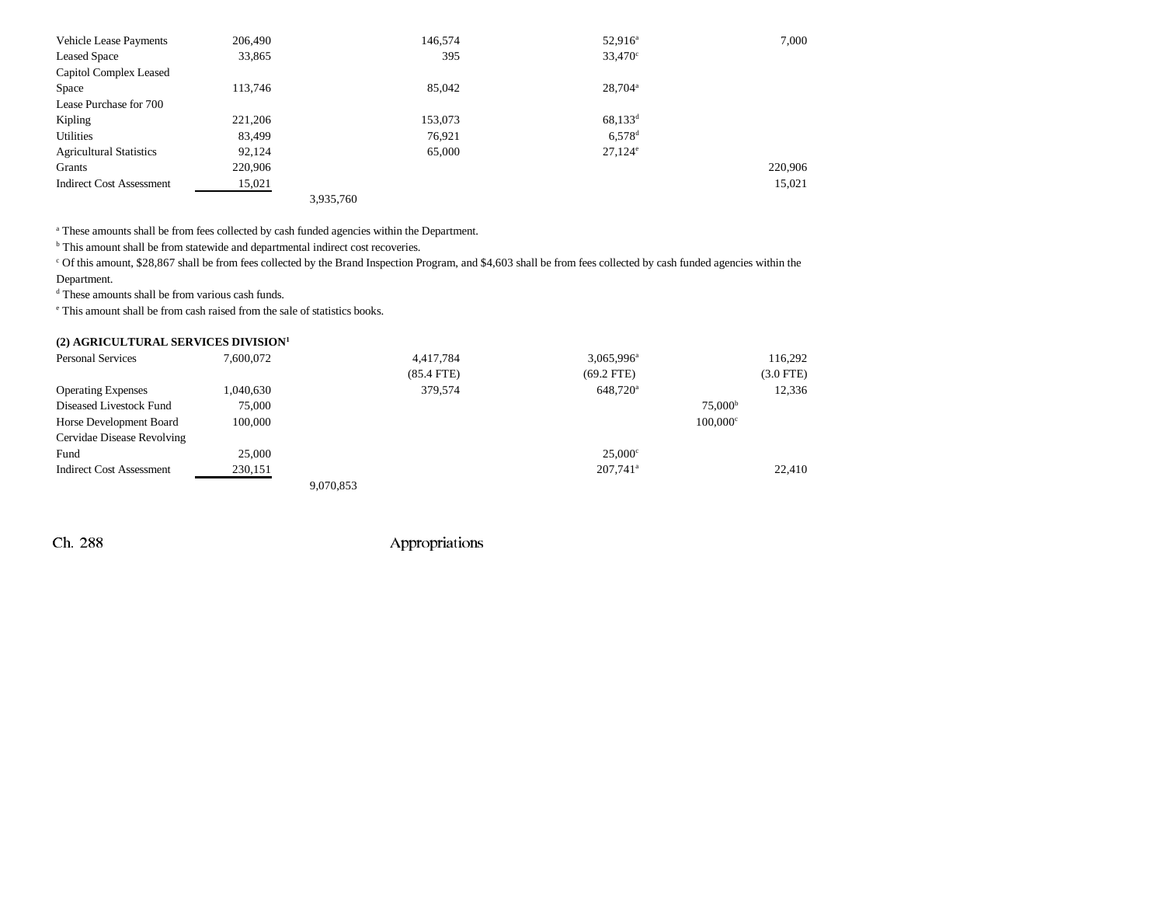| <b>Vehicle Lease Payments</b>   | 206,490 |           | 146,574 | $52,916^{\circ}$     | 7.000   |
|---------------------------------|---------|-----------|---------|----------------------|---------|
| <b>Leased Space</b>             | 33,865  |           | 395     | $33,470^{\circ}$     |         |
| Capitol Complex Leased          |         |           |         |                      |         |
| Space                           | 113,746 |           | 85,042  | $28.704^{\circ}$     |         |
| Lease Purchase for 700          |         |           |         |                      |         |
| Kipling                         | 221,206 |           | 153,073 | $68,133^d$           |         |
| Utilities                       | 83,499  |           | 76,921  | $6.578$ <sup>d</sup> |         |
| <b>Agricultural Statistics</b>  | 92,124  |           | 65,000  | $27.124^{\circ}$     |         |
| Grants                          | 220.906 |           |         |                      | 220,906 |
| <b>Indirect Cost Assessment</b> | 15,021  |           |         |                      | 15,021  |
|                                 |         | 3.935.760 |         |                      |         |

a These amounts shall be from fees collected by cash funded agencies within the Department.

<sup>b</sup> This amount shall be from statewide and departmental indirect cost recoveries.

c Of this amount, \$28,867 shall be from fees collected by the Brand Inspection Program, and \$4,603 shall be from fees collected by cash funded agencies within the Department.

d These amounts shall be from various cash funds.

e This amount shall be from cash raised from the sale of statistics books.

|  |  |  |  | (2) AGRICULTURAL SERVICES DIVISION <sup>1</sup> |  |
|--|--|--|--|-------------------------------------------------|--|
|--|--|--|--|-------------------------------------------------|--|

| <b>Personal Services</b>           | 7.600.072 |           | 4,417,784    | 3,065,996 <sup>a</sup> |                        | 116,292        |
|------------------------------------|-----------|-----------|--------------|------------------------|------------------------|----------------|
|                                    |           |           | $(85.4$ FTE) | $(69.2$ FTE)           |                        | $(3.0$ FTE $)$ |
| <b>Operating Expenses</b>          | 1,040,630 |           | 379,574      | 648,720 <sup>a</sup>   |                        | 12,336         |
| Diseased Livestock Fund            | 75,000    |           |              |                        | $75,000^{\rm b}$       |                |
| Horse Development Board<br>100,000 |           |           |              |                        | $100.000$ <sup>c</sup> |                |
| Cervidae Disease Revolving         |           |           |              |                        |                        |                |
| Fund                               | 25,000    |           |              | $25.000^{\circ}$       |                        |                |
| <b>Indirect Cost Assessment</b>    | 230,151   |           |              | $207.741$ <sup>a</sup> |                        | 22,410         |
|                                    |           | 9,070,853 |              |                        |                        |                |

Ch. 288 Appropriations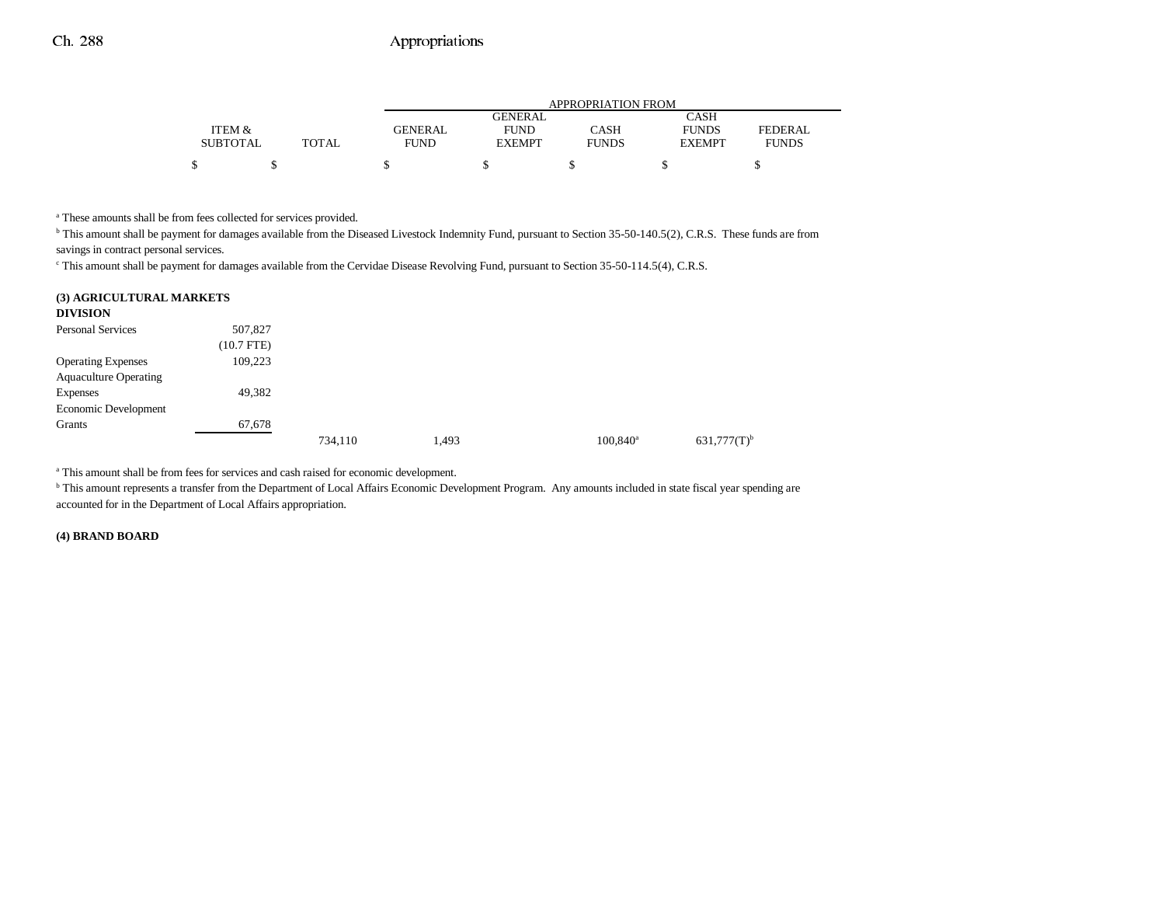### Ch. 288 Appropriations

|                 |              | APPROPRIATION FROM |                |              |               |                |  |  |
|-----------------|--------------|--------------------|----------------|--------------|---------------|----------------|--|--|
|                 |              |                    | <b>GENERAL</b> |              | <b>CASH</b>   |                |  |  |
| ITEM &          |              | <b>GENERAL</b>     | <b>FUND</b>    | CASH         | <b>FUNDS</b>  | <b>FEDERAL</b> |  |  |
| <b>SUBTOTAL</b> | <b>TOTAL</b> | <b>FUND</b>        | <b>EXEMPT</b>  | <b>FUNDS</b> | <b>EXEMPT</b> | <b>FUNDS</b>   |  |  |
|                 |              |                    |                |              |               |                |  |  |

<sup>a</sup> These amounts shall be from fees collected for services provided.

b This amount shall be payment for damages available from the Diseased Livestock Indemnity Fund, pursuant to Section 35-50-140.5(2), C.R.S. These funds are from savings in contract personal services.

c This amount shall be payment for damages available from the Cervidae Disease Revolving Fund, pursuant to Section 35-50-114.5(4), C.R.S.

### **(3) AGRICULTURAL MARKETS**

| <b>DIVISION</b>              |              |         |       |                   |                  |
|------------------------------|--------------|---------|-------|-------------------|------------------|
| <b>Personal Services</b>     | 507,827      |         |       |                   |                  |
|                              | $(10.7$ FTE) |         |       |                   |                  |
| <b>Operating Expenses</b>    | 109,223      |         |       |                   |                  |
| <b>Aquaculture Operating</b> |              |         |       |                   |                  |
| Expenses                     | 49,382       |         |       |                   |                  |
| Economic Development         |              |         |       |                   |                  |
| Grants                       | 67,678       |         |       |                   |                  |
|                              |              | 734,110 | 1,493 | $100,840^{\circ}$ | $631,777(T)^{b}$ |

a This amount shall be from fees for services and cash raised for economic development.

<sup>b</sup> This amount represents a transfer from the Department of Local Affairs Economic Development Program. Any amounts included in state fiscal year spending are accounted for in the Department of Local Affairs appropriation.

### **(4) BRAND BOARD**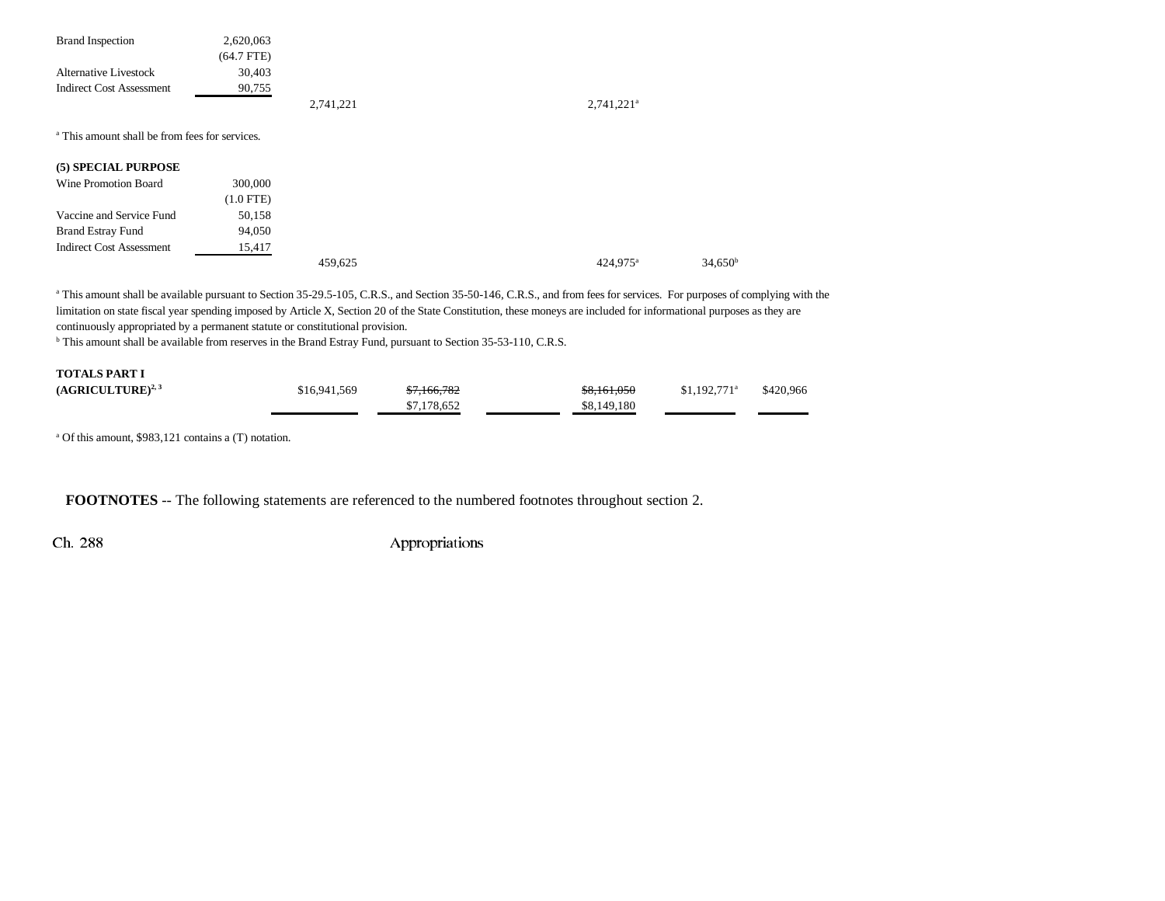| <b>Brand Inspection</b>         | 2,620,063    |           |  |
|---------------------------------|--------------|-----------|--|
|                                 | $(64.7$ FTE) |           |  |
| <b>Alternative Livestock</b>    | 30.403       |           |  |
| <b>Indirect Cost Assessment</b> | 90.755       |           |  |
|                                 |              | 2.741.221 |  |

a This amount shall be from fees for services.

### **(5) SPECIAL PURPOSE**

| Wine Promotion Board            | 300,000     |         |                      |                     |
|---------------------------------|-------------|---------|----------------------|---------------------|
|                                 | $(1.0$ FTE) |         |                      |                     |
| Vaccine and Service Fund        | 50.158      |         |                      |                     |
| <b>Brand Estray Fund</b>        | 94,050      |         |                      |                     |
| <b>Indirect Cost Assessment</b> | 15.417      |         |                      |                     |
|                                 |             | 459.625 | 424.975 <sup>a</sup> | 34.650 <sup>b</sup> |

<sup>a</sup> This amount shall be available pursuant to Section 35-29.5-105, C.R.S., and Section 35-50-146, C.R.S., and from fees for services. For purposes of complying with the limitation on state fiscal year spending imposed by Article X, Section 20 of the State Constitution, these moneys are included for informational purposes as they are continuously appropriated by a permanent statute or constitutional provision.

 $2,741,221$ <sup>a</sup>

b This amount shall be available from reserves in the Brand Estray Fund, pursuant to Section 35-53-110, C.R.S.

| <b>TOTALS PART I</b>  |              |             |             |                           |           |
|-----------------------|--------------|-------------|-------------|---------------------------|-----------|
| $(AGRICULTURE)^{2,3}$ | \$16,941,569 | \$7,166,782 | \$8,161,050 | $$1.192.771$ <sup>a</sup> | \$420,966 |
|                       |              | \$7,178,652 | \$8,149,180 |                           |           |

a Of this amount, \$983,121 contains a (T) notation.

**FOOTNOTES** -- The following statements are referenced to the numbered footnotes throughout section 2.

Ch. 288 Appropriations